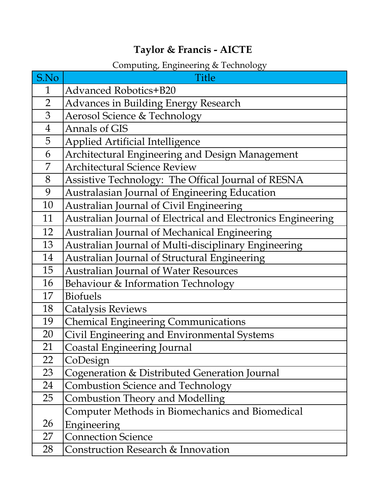## **Taylor & Francis - AICTE**

## Computing, Engineering & Technology

| S.No           | <b>Title</b>                                                 |
|----------------|--------------------------------------------------------------|
| 1              | <b>Advanced Robotics+B20</b>                                 |
| $\overline{2}$ | <b>Advances in Building Energy Research</b>                  |
| 3              | Aerosol Science & Technology                                 |
| $\overline{4}$ | <b>Annals of GIS</b>                                         |
| 5              | <b>Applied Artificial Intelligence</b>                       |
| 6              | Architectural Engineering and Design Management              |
| 7              | <b>Architectural Science Review</b>                          |
| 8              | Assistive Technology: The Offical Journal of RESNA           |
| 9              | Australasian Journal of Engineering Education                |
| 10             | Australian Journal of Civil Engineering                      |
| 11             | Australian Journal of Electrical and Electronics Engineering |
| 12             | Australian Journal of Mechanical Engineering                 |
| 13             | Australian Journal of Multi-disciplinary Engineering         |
| 14             | Australian Journal of Structural Engineering                 |
| 15             | <b>Australian Journal of Water Resources</b>                 |
| 16             | Behaviour & Information Technology                           |
| 17             | <b>Biofuels</b>                                              |
| 18             | <b>Catalysis Reviews</b>                                     |
| 19             | <b>Chemical Engineering Communications</b>                   |
| 20             | Civil Engineering and Environmental Systems                  |
| 21             | <b>Coastal Engineering Journal</b>                           |
| 22             | CoDesign                                                     |
| 23             | Cogeneration & Distributed Generation Journal                |
| 24             | <b>Combustion Science and Technology</b>                     |
| 25             | Combustion Theory and Modelling                              |
|                | Computer Methods in Biomechanics and Biomedical              |
| 26             | Engineering                                                  |
| 27             | <b>Connection Science</b>                                    |
| 28             | Construction Research & Innovation                           |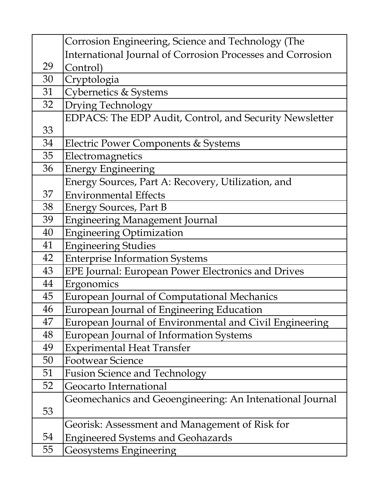|    | Corrosion Engineering, Science and Technology (The         |
|----|------------------------------------------------------------|
|    | International Journal of Corrosion Processes and Corrosion |
| 29 | Control)                                                   |
| 30 | Cryptologia                                                |
| 31 | Cybernetics & Systems                                      |
| 32 | Drying Technology                                          |
|    | EDPACS: The EDP Audit, Control, and Security Newsletter    |
| 33 |                                                            |
| 34 | Electric Power Components & Systems                        |
| 35 | Electromagnetics                                           |
| 36 | <b>Energy Engineering</b>                                  |
|    | Energy Sources, Part A: Recovery, Utilization, and         |
| 37 | <b>Environmental Effects</b>                               |
| 38 | <b>Energy Sources, Part B</b>                              |
| 39 | <b>Engineering Management Journal</b>                      |
| 40 | <b>Engineering Optimization</b>                            |
| 41 | <b>Engineering Studies</b>                                 |
| 42 | <b>Enterprise Information Systems</b>                      |
| 43 | EPE Journal: European Power Electronics and Drives         |
| 44 | Ergonomics                                                 |
| 45 | European Journal of Computational Mechanics                |
| 46 | European Journal of Engineering Education                  |
| 47 | European Journal of Environmental and Civil Engineering    |
| 48 | European Journal of Information Systems                    |
| 49 | <b>Experimental Heat Transfer</b>                          |
| 50 | <b>Footwear Science</b>                                    |
| 51 | <b>Fusion Science and Technology</b>                       |
| 52 | Geocarto International                                     |
|    | Geomechanics and Geoengineering: An Intenational Journal   |
| 53 |                                                            |
|    | Georisk: Assessment and Management of Risk for             |
| 54 | <b>Engineered Systems and Geohazards</b>                   |
| 55 | Geosystems Engineering                                     |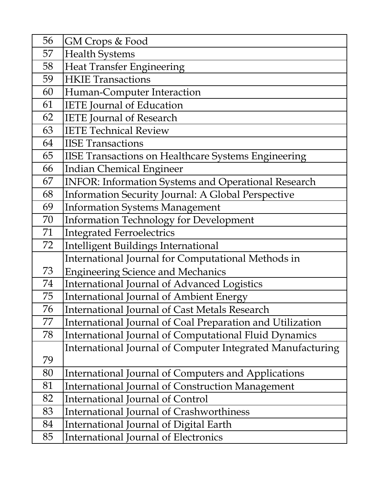| 56 | GM Crops & Food                                              |
|----|--------------------------------------------------------------|
| 57 | <b>Health Systems</b>                                        |
| 58 | <b>Heat Transfer Engineering</b>                             |
| 59 | <b>HKIE Transactions</b>                                     |
| 60 | Human-Computer Interaction                                   |
| 61 | <b>IETE</b> Journal of Education                             |
| 62 | <b>IETE</b> Journal of Research                              |
| 63 | <b>IETE Technical Review</b>                                 |
| 64 | <b>IISE Transactions</b>                                     |
| 65 | <b>IISE Transactions on Healthcare Systems Engineering</b>   |
| 66 | <b>Indian Chemical Engineer</b>                              |
| 67 | <b>INFOR: Information Systems and Operational Research</b>   |
| 68 | Information Security Journal: A Global Perspective           |
| 69 | <b>Information Systems Management</b>                        |
| 70 | Information Technology for Development                       |
| 71 | <b>Integrated Ferroelectrics</b>                             |
| 72 | <b>Intelligent Buildings International</b>                   |
|    | International Journal for Computational Methods in           |
| 73 | <b>Engineering Science and Mechanics</b>                     |
| 74 | International Journal of Advanced Logistics                  |
| 75 | <b>International Journal of Ambient Energy</b>               |
| 76 | <b>International Journal of Cast Metals Research</b>         |
| 77 | International Journal of Coal Preparation and Utilization    |
| 78 | <b>International Journal of Computational Fluid Dynamics</b> |
|    | International Journal of Computer Integrated Manufacturing   |
| 79 |                                                              |
| 80 | International Journal of Computers and Applications          |
| 81 | <b>International Journal of Construction Management</b>      |
| 82 | <b>International Journal of Control</b>                      |
| 83 | <b>International Journal of Crashworthiness</b>              |
| 84 | International Journal of Digital Earth                       |
| 85 | <b>International Journal of Electronics</b>                  |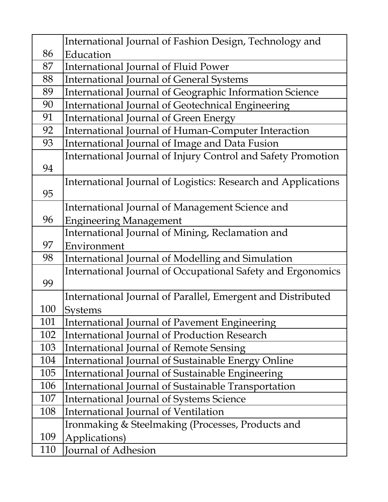|     | International Journal of Fashion Design, Technology and       |
|-----|---------------------------------------------------------------|
| 86  | Education                                                     |
| 87  | International Journal of Fluid Power                          |
| 88  | <b>International Journal of General Systems</b>               |
| 89  | International Journal of Geographic Information Science       |
| 90  | International Journal of Geotechnical Engineering             |
| 91  | International Journal of Green Energy                         |
| 92  | International Journal of Human-Computer Interaction           |
| 93  | International Journal of Image and Data Fusion                |
|     | International Journal of Injury Control and Safety Promotion  |
| 94  |                                                               |
|     | International Journal of Logistics: Research and Applications |
| 95  |                                                               |
|     | International Journal of Management Science and               |
| 96  | <b>Engineering Management</b>                                 |
|     | International Journal of Mining, Reclamation and              |
| 97  | Environment                                                   |
| 98  | International Journal of Modelling and Simulation             |
|     | International Journal of Occupational Safety and Ergonomics   |
| 99  |                                                               |
|     | International Journal of Parallel, Emergent and Distributed   |
| 100 | <b>Systems</b>                                                |
| 101 | International Journal of Pavement Engineering                 |
| 102 | <b>International Journal of Production Research</b>           |
| 103 | <b>International Journal of Remote Sensing</b>                |
| 104 | International Journal of Sustainable Energy Online            |
| 105 | International Journal of Sustainable Engineering              |
| 106 | International Journal of Sustainable Transportation           |
| 107 | <b>International Journal of Systems Science</b>               |
| 108 | International Journal of Ventilation                          |
|     | Ironmaking & Steelmaking (Processes, Products and             |
| 109 | Applications)                                                 |
| 110 | Journal of Adhesion                                           |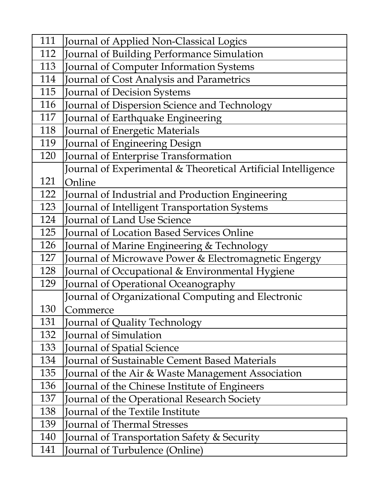| 111 | Journal of Applied Non-Classical Logics                       |
|-----|---------------------------------------------------------------|
| 112 | Journal of Building Performance Simulation                    |
| 113 | Journal of Computer Information Systems                       |
| 114 | Journal of Cost Analysis and Parametrics                      |
| 115 | <b>Journal of Decision Systems</b>                            |
| 116 | Journal of Dispersion Science and Technology                  |
| 117 | Journal of Earthquake Engineering                             |
| 118 | Journal of Energetic Materials                                |
| 119 | Journal of Engineering Design                                 |
| 120 | Journal of Enterprise Transformation                          |
|     | Journal of Experimental & Theoretical Artificial Intelligence |
| 121 | Online                                                        |
| 122 | Journal of Industrial and Production Engineering              |
| 123 | Journal of Intelligent Transportation Systems                 |
| 124 | Journal of Land Use Science                                   |
| 125 | <b>Journal of Location Based Services Online</b>              |
| 126 | Journal of Marine Engineering & Technology                    |
| 127 | Journal of Microwave Power & Electromagnetic Engergy          |
| 128 | Journal of Occupational & Environmental Hygiene               |
| 129 | Journal of Operational Oceanography                           |
|     | Journal of Organizational Computing and Electronic            |
| 130 | Commerce                                                      |
| 131 | ournal of Quality Technology                                  |
| 132 | Journal of Simulation                                         |
| 133 | Journal of Spatial Science                                    |
| 134 | <b>Journal of Sustainable Cement Based Materials</b>          |
| 135 | Journal of the Air & Waste Management Association             |
| 136 | Journal of the Chinese Institute of Engineers                 |
| 137 | Journal of the Operational Research Society                   |
| 138 | <b>Journal of the Textile Institute</b>                       |
| 139 | Journal of Thermal Stresses                                   |
| 140 | Journal of Transportation Safety & Security                   |
| 141 | Journal of Turbulence (Online)                                |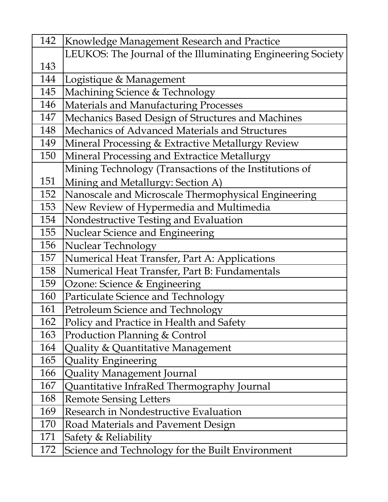| 142 | Knowledge Management Research and Practice                  |
|-----|-------------------------------------------------------------|
|     | LEUKOS: The Journal of the Illuminating Engineering Society |
| 143 |                                                             |
| 144 | Logistique & Management                                     |
| 145 | Machining Science & Technology                              |
| 146 | <b>Materials and Manufacturing Processes</b>                |
| 147 | Mechanics Based Design of Structures and Machines           |
| 148 | Mechanics of Advanced Materials and Structures              |
| 149 | Mineral Processing & Extractive Metallurgy Review           |
| 150 | Mineral Processing and Extractice Metallurgy                |
|     | Mining Technology (Transactions of the Institutions of      |
| 151 | Mining and Metallurgy: Section A)                           |
| 152 | Nanoscale and Microscale Thermophysical Engineering         |
| 153 | New Review of Hypermedia and Multimedia                     |
| 154 | Nondestructive Testing and Evaluation                       |
| 155 | Nuclear Science and Engineering                             |
| 156 | <b>Nuclear Technology</b>                                   |
| 157 | Numerical Heat Transfer, Part A: Applications               |
| 158 | Numerical Heat Transfer, Part B: Fundamentals               |
| 159 | Ozone: Science & Engineering                                |
| 160 | Particulate Science and Technology                          |
| 161 | Petroleum Science and Technology                            |
| 162 | Policy and Practice in Health and Safety                    |
| 163 | <b>Production Planning &amp; Control</b>                    |
| 164 | Quality & Quantitative Management                           |
| 165 | <b>Quality Engineering</b>                                  |
| 166 | <b>Quality Management Journal</b>                           |
| 167 | Quantitative InfraRed Thermography Journal                  |
| 168 | <b>Remote Sensing Letters</b>                               |
| 169 | Research in Nondestructive Evaluation                       |
| 170 | Road Materials and Pavement Design                          |
| 171 | Safety & Reliability                                        |
| 172 | Science and Technology for the Built Environment            |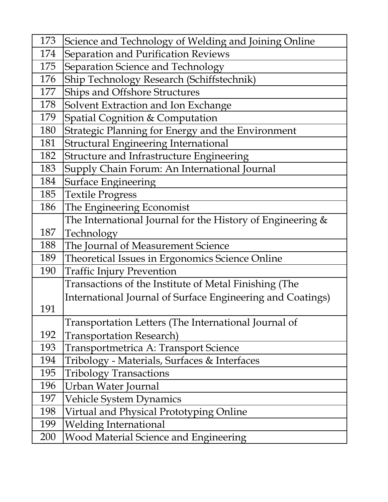| 173 | Science and Technology of Welding and Joining Online         |
|-----|--------------------------------------------------------------|
| 174 | Separation and Purification Reviews                          |
| 175 | Separation Science and Technology                            |
| 176 | Ship Technology Research (Schiffstechnik)                    |
| 177 | Ships and Offshore Structures                                |
| 178 | Solvent Extraction and Ion Exchange                          |
| 179 | Spatial Cognition & Computation                              |
| 180 | Strategic Planning for Energy and the Environment            |
| 181 | Structural Engineering International                         |
| 182 | Structure and Infrastructure Engineering                     |
| 183 | Supply Chain Forum: An International Journal                 |
| 184 | Surface Engineering                                          |
| 185 | <b>Textile Progress</b>                                      |
| 186 | The Engineering Economist                                    |
|     | The International Journal for the History of Engineering $&$ |
| 187 | Technology                                                   |
| 188 | The Journal of Measurement Science                           |
| 189 | Theoretical Issues in Ergonomics Science Online              |
| 190 | <b>Traffic Injury Prevention</b>                             |
|     | Transactions of the Institute of Metal Finishing (The        |
|     | International Journal of Surface Engineering and Coatings)   |
| 191 |                                                              |
|     | Transportation Letters (The International Journal of         |
| 192 | <b>Transportation Research</b> )                             |
| 193 | Transportmetrica A: Transport Science                        |
| 194 | Tribology - Materials, Surfaces & Interfaces                 |
| 195 | <b>Tribology Transactions</b>                                |
| 196 | Urban Water Journal                                          |
| 197 | <b>Vehicle System Dynamics</b>                               |
| 198 | Virtual and Physical Prototyping Online                      |
| 199 | <b>Welding International</b>                                 |
| 200 | <b>Wood Material Science and Engineering</b>                 |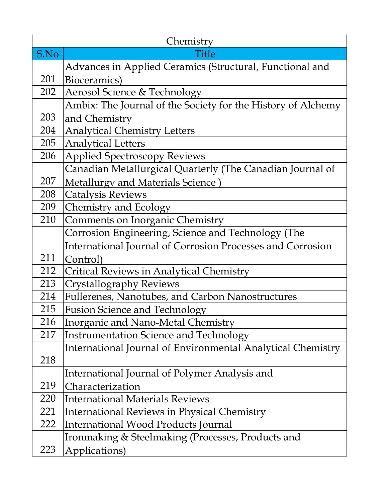|      | Chemistry                                                         |
|------|-------------------------------------------------------------------|
| S.No | Title                                                             |
|      | Advances in Applied Ceramics (Structural, Functional and          |
| 201  | Bioceramics)                                                      |
| 202  | Aerosol Science & Technology                                      |
|      | Ambix: The Journal of the Society for the History of Alchemy      |
| 203  | and Chemistry                                                     |
| 204  | <b>Analytical Chemistry Letters</b>                               |
| 205  | <b>Analytical Letters</b>                                         |
| 206  | <b>Applied Spectroscopy Reviews</b>                               |
|      | Canadian Metallurgical Quarterly (The Canadian Journal of         |
| 207  | Metallurgy and Materials Science)                                 |
| 208  | <b>Catalysis Reviews</b>                                          |
| 209  | Chemistry and Ecology                                             |
| 210  | Comments on Inorganic Chemistry                                   |
|      | Corrosion Engineering, Science and Technology (The                |
|      | <b>International Journal of Corrosion Processes and Corrosion</b> |
| 211  | Control)                                                          |
| 212  | <b>Critical Reviews in Analytical Chemistry</b>                   |
| 213  | <b>Crystallography Reviews</b>                                    |
| 214  | <b>Fullerenes, Nanotubes, and Carbon Nanostructures</b>           |
| 215  | <b>Fusion Science and Technology</b>                              |
| 216  | Inorganic and Nano-Metal Chemistry                                |
| 217  | <b>Instrumentation Science and Technology</b>                     |
|      | International Journal of Environmental Analytical Chemistry       |
| 218  |                                                                   |
|      | International Journal of Polymer Analysis and                     |
| 219  | Characterization                                                  |
| 220  | <b>International Materials Reviews</b>                            |
| 221  | International Reviews in Physical Chemistry                       |
| 222  | International Wood Products Journal                               |
|      | Ironmaking & Steelmaking (Processes, Products and                 |
| 223  | Applications)                                                     |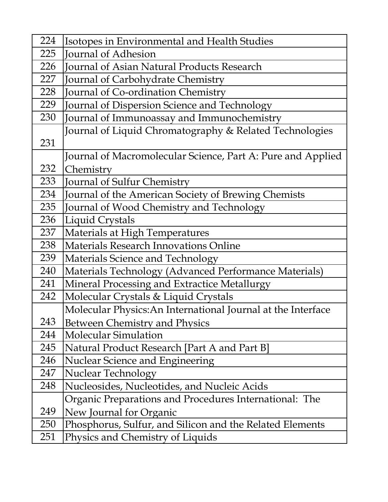| 224 | Isotopes in Environmental and Health Studies                 |
|-----|--------------------------------------------------------------|
| 225 | Journal of Adhesion                                          |
| 226 | <b>Journal of Asian Natural Products Research</b>            |
| 227 | Journal of Carbohydrate Chemistry                            |
| 228 | Journal of Co-ordination Chemistry                           |
| 229 | Journal of Dispersion Science and Technology                 |
| 230 | Journal of Immunoassay and Immunochemistry                   |
|     | Journal of Liquid Chromatography & Related Technologies      |
| 231 |                                                              |
|     | Journal of Macromolecular Science, Part A: Pure and Applied  |
| 232 | Chemistry                                                    |
| 233 | Journal of Sulfur Chemistry                                  |
| 234 | Journal of the American Society of Brewing Chemists          |
| 235 | Journal of Wood Chemistry and Technology                     |
| 236 | Liquid Crystals                                              |
| 237 | Materials at High Temperatures                               |
| 238 | <b>Materials Research Innovations Online</b>                 |
| 239 | Materials Science and Technology                             |
| 240 | Materials Technology (Advanced Performance Materials)        |
| 241 | Mineral Processing and Extractice Metallurgy                 |
| 242 | Molecular Crystals & Liquid Crystals                         |
|     | Molecular Physics: An International Journal at the Interface |
| 243 | Between Chemistry and Physics                                |
| 244 | <b>Molecular Simulation</b>                                  |
| 245 | Natural Product Research [Part A and Part B]                 |
| 246 | <b>Nuclear Science and Engineering</b>                       |
| 247 | Nuclear Technology                                           |
| 248 | Nucleosides, Nucleotides, and Nucleic Acids                  |
|     | Organic Preparations and Procedures International: The       |
| 249 | New Journal for Organic                                      |
| 250 | Phosphorus, Sulfur, and Silicon and the Related Elements     |
| 251 | Physics and Chemistry of Liquids                             |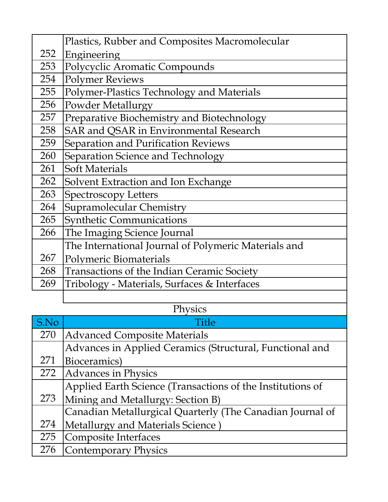|      | Plastics, Rubber and Composites Macromolecular       |
|------|------------------------------------------------------|
| 252  | Engineering                                          |
| 253  | Polycyclic Aromatic Compounds                        |
| 254  | <b>Polymer Reviews</b>                               |
| 255  | Polymer-Plastics Technology and Materials            |
| 256  | <b>Powder Metallurgy</b>                             |
| 257  | Preparative Biochemistry and Biotechnology           |
| 258  | SAR and QSAR in Environmental Research               |
| 259  | Separation and Purification Reviews                  |
| 260  | Separation Science and Technology                    |
| 261  | <b>Soft Materials</b>                                |
| 262  | Solvent Extraction and Ion Exchange                  |
| 263  | <b>Spectroscopy Letters</b>                          |
| 264  | <b>Supramolecular Chemistry</b>                      |
| 265  | <b>Synthetic Communications</b>                      |
| 266  | The Imaging Science Journal                          |
|      | The International Journal of Polymeric Materials and |
| 267  | <b>Polymeric Biomaterials</b>                        |
| 268  | Transactions of the Indian Ceramic Society           |
| 269  | Tribology - Materials, Surfaces & Interfaces         |
|      |                                                      |
|      | Physics                                              |
| S.No | Title                                                |

| S.No | Title                                                      |
|------|------------------------------------------------------------|
| 270  | <b>Advanced Composite Materials</b>                        |
|      | Advances in Applied Ceramics (Structural, Functional and   |
| 271  | Bioceramics)                                               |
| 272  | Advances in Physics                                        |
|      | Applied Earth Science (Transactions of the Institutions of |
| 273  | Mining and Metallurgy: Section B)                          |
|      | Canadian Metallurgical Quarterly (The Canadian Journal of  |
| 274  | Metallurgy and Materials Science)                          |
| 275  | Composite Interfaces                                       |
| 276  | Contemporary Physics                                       |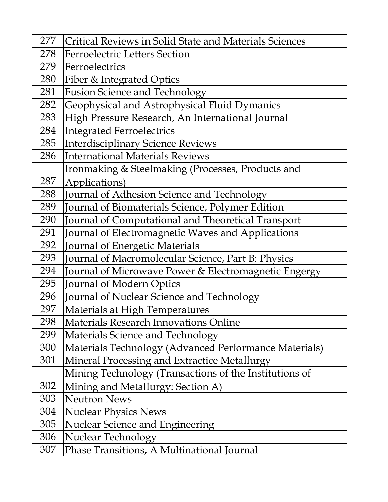| 277 | <b>Critical Reviews in Solid State and Materials Sciences</b> |
|-----|---------------------------------------------------------------|
| 278 | <b>Ferroelectric Letters Section</b>                          |
| 279 | Ferroelectrics                                                |
| 280 | Fiber & Integrated Optics                                     |
| 281 | <b>Fusion Science and Technology</b>                          |
| 282 | Geophysical and Astrophysical Fluid Dymanics                  |
| 283 | High Pressure Research, An International Journal              |
| 284 | <b>Integrated Ferroelectrics</b>                              |
| 285 | Interdisciplinary Science Reviews                             |
| 286 | <b>International Materials Reviews</b>                        |
|     | Ironmaking & Steelmaking (Processes, Products and             |
| 287 | Applications)                                                 |
| 288 | Journal of Adhesion Science and Technology                    |
| 289 | Journal of Biomaterials Science, Polymer Edition              |
| 290 | Journal of Computational and Theoretical Transport            |
| 291 | Journal of Electromagnetic Waves and Applications             |
| 292 | Journal of Energetic Materials                                |
| 293 | Journal of Macromolecular Science, Part B: Physics            |
| 294 | Journal of Microwave Power & Electromagnetic Engergy          |
| 295 | Journal of Modern Optics                                      |
| 296 | Journal of Nuclear Science and Technology                     |
| 297 | Materials at High Temperatures                                |
| 298 | Materials Research Innovations Online                         |
| 299 | Materials Science and Technology                              |
| 300 | Materials Technology (Advanced Performance Materials)         |
| 301 | Mineral Processing and Extractice Metallurgy                  |
|     | Mining Technology (Transactions of the Institutions of        |
| 302 | Mining and Metallurgy: Section A)                             |
| 303 | <b>Neutron News</b>                                           |
| 304 | <b>Nuclear Physics News</b>                                   |
| 305 | Nuclear Science and Engineering                               |
| 306 | <b>Nuclear Technology</b>                                     |
| 307 | Phase Transitions, A Multinational Journal                    |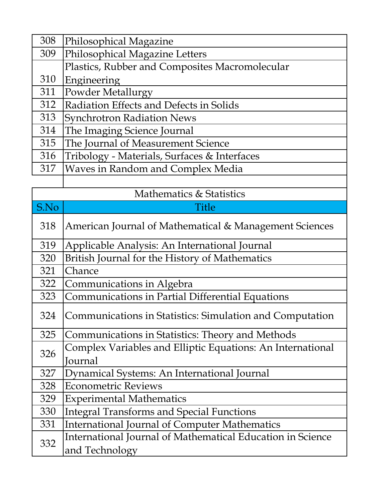| 308 | Philosophical Magazine                         |
|-----|------------------------------------------------|
| 309 | Philosophical Magazine Letters                 |
|     | Plastics, Rubber and Composites Macromolecular |
| 310 | Engineering                                    |
| 311 | Powder Metallurgy                              |
| 312 | Radiation Effects and Defects in Solids        |
| 313 | <b>Synchrotron Radiation News</b>              |
| 314 | The Imaging Science Journal                    |
| 315 | The Journal of Measurement Science             |
| 316 | Tribology - Materials, Surfaces & Interfaces   |
| 317 | Waves in Random and Complex Media              |
|     |                                                |

| Mathematics & Statistics |                                                                              |  |
|--------------------------|------------------------------------------------------------------------------|--|
| S.No                     | <b>Title</b>                                                                 |  |
| 318                      | American Journal of Mathematical & Management Sciences                       |  |
| 319                      | Applicable Analysis: An International Journal                                |  |
| 320                      | British Journal for the History of Mathematics                               |  |
| 321                      | Chance                                                                       |  |
| 322                      | Communications in Algebra                                                    |  |
| 323                      | <b>Communications in Partial Differential Equations</b>                      |  |
| 324                      | Communications in Statistics: Simulation and Computation                     |  |
| 325                      | Communications in Statistics: Theory and Methods                             |  |
| 326                      | Complex Variables and Elliptic Equations: An International<br>Journal        |  |
| 327                      | Dynamical Systems: An International Journal                                  |  |
| 328                      | <b>Econometric Reviews</b>                                                   |  |
| 329                      | <b>Experimental Mathematics</b>                                              |  |
| 330                      | <b>Integral Transforms and Special Functions</b>                             |  |
| 331                      | <b>International Journal of Computer Mathematics</b>                         |  |
| 332                      | International Journal of Mathematical Education in Science<br>and Technology |  |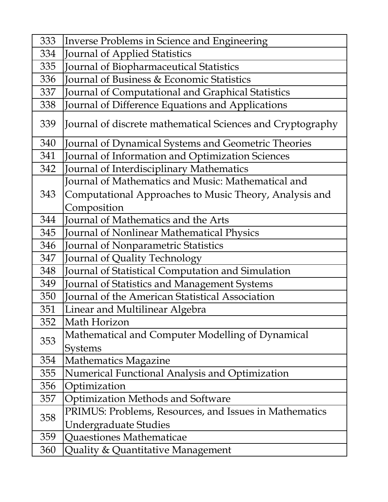| 333 | Inverse Problems in Science and Engineering                |
|-----|------------------------------------------------------------|
| 334 | Journal of Applied Statistics                              |
| 335 | Journal of Biopharmaceutical Statistics                    |
| 336 | <b>Journal of Business &amp; Economic Statistics</b>       |
| 337 | <b>Journal of Computational and Graphical Statistics</b>   |
| 338 | Journal of Difference Equations and Applications           |
| 339 | Journal of discrete mathematical Sciences and Cryptography |
| 340 | Journal of Dynamical Systems and Geometric Theories        |
| 341 | Journal of Information and Optimization Sciences           |
| 342 | Journal of Interdisciplinary Mathematics                   |
|     | Journal of Mathematics and Music: Mathematical and         |
| 343 | Computational Approaches to Music Theory, Analysis and     |
|     | Composition                                                |
| 344 | Journal of Mathematics and the Arts                        |
| 345 | Journal of Nonlinear Mathematical Physics                  |
| 346 | <b>Journal of Nonparametric Statistics</b>                 |
| 347 | Journal of Quality Technology                              |
| 348 | Journal of Statistical Computation and Simulation          |
| 349 | Journal of Statistics and Management Systems               |
| 350 | <b>Journal of the American Statistical Association</b>     |
| 351 | Linear and Multilinear Algebra                             |
| 352 | Math Horizon                                               |
|     | Mathematical and Computer Modelling of Dynamical           |
| 353 | <b>Systems</b>                                             |
| 354 | <b>Mathematics Magazine</b>                                |
| 355 | Numerical Functional Analysis and Optimization             |
| 356 | Optimization                                               |
| 357 | <b>Optimization Methods and Software</b>                   |
| 358 | PRIMUS: Problems, Resources, and Issues in Mathematics     |
|     | Undergraduate Studies                                      |
| 359 | Quaestiones Mathematicae                                   |
| 360 | Quality & Quantitative Management                          |